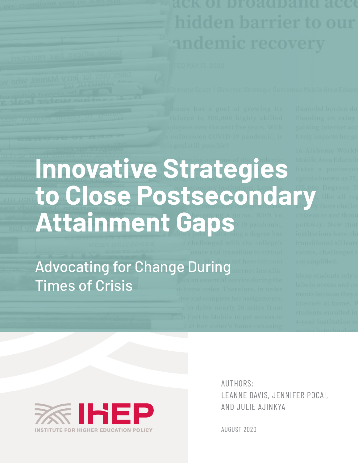**Innovative Strategies to Close Postsecondary Attainment Gaps**

Advocating for Change During Times of Crisis



AUTHORS: LEANNE DAVIS, JENNIFER POCAI, AND JULIE AJINKYA

AUGUST 2020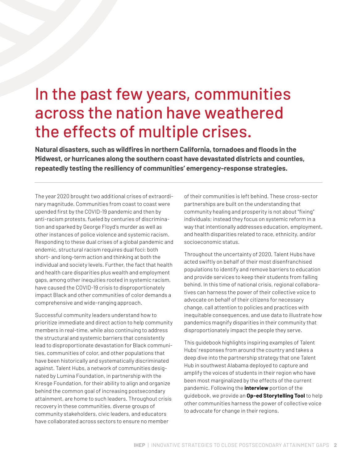# In the past few years, communities across the nation have weathered the effects of multiple crises.

**Natural disasters, such as wildfires in northern California, tornadoes and floods in the Midwest, or hurricanes along the southern coast have devastated districts and counties, repeatedly testing the resiliency of communities' emergency-response strategies.**

The year 2020 brought two additional crises of extraordinary magnitude. Communities from coast to coast were upended first by the COVID-19 pandemic and then by anti-racism protests, fueled by centuries of discrimination and sparked by George Floyd's murder as well as other instances of police violence and systemic racism. Responding to these dual crises of a global pandemic and endemic, structural racism requires dual foci: both short- and long-term action and thinking at both the individual and society levels. Further, the fact that health and health care disparities plus wealth and employment gaps, among other inequities rooted in systemic racism, have caused the COVID-19 crisis to disproportionately impact Black and other communities of color demands a comprehensive and wide-ranging approach.

Successful community leaders understand how to prioritize immediate and direct action to help community members in real-time, while also continuing to address the structural and systemic barriers that consistently lead to disproportionate devastation for Black communities, communities of color, and other populations that have been historically and systematically discriminated against. Talent Hubs, a network of communities designated by Lumina Foundation, in partnership with the Kresge Foundation, for their ability to align and organize behind the common goal of increasing postsecondary attainment, are home to such leaders. Throughout crisis recovery in these communities, diverse groups of community stakeholders, civic leaders, and educators have collaborated across sectors to ensure no member

of their communities is left behind. These cross-sector partnerships are built on the understanding that community healing and prosperity is not about "fixing" individuals; instead they focus on systemic reform in a way that intentionally addresses education, employment, and health disparities related to race, ethnicity, and/or socioeconomic status.

Throughout the uncertainty of 2020, Talent Hubs have acted swiftly on behalf of their most disenfranchised populations to identify and remove barriers to education and provide services to keep their students from falling behind. In this time of national crisis, regional collaboratives can harness the power of their collective voice to advocate on behalf of their citizens for necessary change, call attention to policies and practices with inequitable consequences, and use data to illustrate how pandemics magnify disparities in their community that disproportionately impact the people they serve.

This guidebook highlights inspiring examples of Talent Hubs' responses from around the country and takes a deep dive into the partnership strategy that one Talent Hub in southwest Alabama deployed to capture and amplify the voices of students in their region who have been most marginalized by the effects of the current pandemic. Following the **interview** portion of the guidebook, we provide an **Op-ed Storytelling Tool** to help other communities harness the power of collective voice to advocate for change in their regions.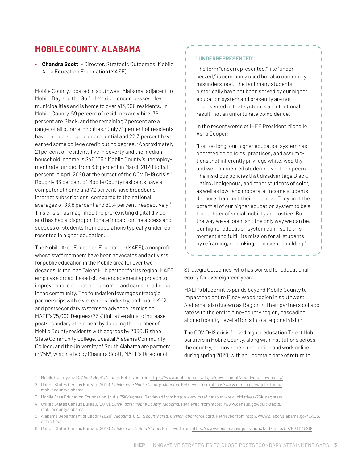# **MOBILE COUNTY, ALABAMA**

**• Chandra Scott** – Director, Strategic Outcomes, Mobile Area Education Foundation (MAEF)

Mobile County, located in southwest Alabama, adjacent to Mobile Bay and the Gulf of Mexico, encompasses eleven municipalities and is home to over 413,000 residents.1 In Mobile County, 59 percent of residents are white, 36 percent are Black, and the remaining 7 percent are a range of all other ethnicities.<sup>2</sup> Only 31 percent of residents have earned a degree or credential and 22.3 percent have earned some college credit but no degree.<sup>3</sup> Approximately 21 percent of residents live in poverty and the median household income is \$46,166.<sup>4</sup> Mobile County's unemployment rate jumped from 3.8 percent in March 2020 to 15.1 percent in April 2020 at the outset of the COVID-19 crisis.<sup>5</sup> Roughly 83 percent of Mobile County residents have a computer at home and 72 percent have broadband internet subscriptions, compared to the national averages of 88.8 percent and 80.4 percent, respectively.<sup>6</sup> This crisis has magnified the pre-existing digital divide and has had a disproportionate impact on the access and success of students from populations typically underrepresented in higher education.

The Mobile Area Education Foundation (MAEF), a nonprofit whose staff members have been advocates and activists for public education in the Mobile area for over two decades, is the lead Talent Hub partner for its region. MAEF employs a broad-based citizen engagement approach to improve public education outcomes and career readiness in the community. The foundation leverages strategic partnerships with civic leaders, industry, and public K-12 and postsecondary systems to advance its mission. MAEF's 75,000 Degrees (75K°) initiative aims to increase postsecondary attainment by doubling the number of Mobile County residents with degrees by 2030. Bishop State Community College, Coastal Alabama Community College, and the University of South Alabama are partners in 75K°, which is led by Chandra Scott, MAEF's Director of

#### **"UNDERREPRESENTED"**

T T f, T

I. I.

I

I.

Т

T

T

T

T

The term "underrepresented," like "underserved," is commonly used but also commonly misunderstood. The fact many students historically have not been served by our higher education system and presently are not represented in that system is an intentional result, not an unfortunate coincidence.

In the recent words of IHEP President Michelle Asha Cooper:

"For too long, our higher education system has operated on policies, practices, and assumptions that inherently privilege white, wealthy, and well-connected students over their peers. The insidious policies that disadvantage Black, Latinx, Indigenous, and other students of color, as well as low- and moderate-income students do more than limit their potential. They limit the potential of our higher education system to be a true arbiter of social mobility and justice. But the way we've been isn't the only way we can be. Our higher education system can rise to this moment and fulfill its mission for all students, by reframing, rethinking, and even rebuilding."

L

т

Т

П

Strategic Outcomes, who has worked for educational equity for over eighteen years.

MAEF's blueprint expands beyond Mobile County to impact the entire Piney Wood region in southwest Alabama, also known as Region 7. Their partners collaborate with the entire nine-county region, cascading aligned county-level efforts into a regional vision.

The COVID-19 crisis forced higher education Talent Hub partners in Mobile County, along with institutions across the country, to move their instruction and work online during spring 2020, with an uncertain date of return to

<sup>1</sup> Mobile County. (n.d.). *About Mobile County.* Retrieved from https://www.mobilecountyal.gov/government/about-mobile-county/

<sup>2</sup> United States Census Bureau. (2019). *QuickFacts: Mobile County, Alabama.* Retrieved from https://www.census.gov/quickfacts/ mobilecountyalabama

<sup>3</sup> Mobile Area Education Foundation. (n.d.). *75K degrees.* Retrieved from http://www.maef.net/our-work/initiatives/75k-degrees/

<sup>4</sup> United States Census Bureau. (2019). *QuickFacts: Mobile County, Alabama.* Retrieved from https://www.census.gov/quickfacts/ mobilecountyalabama

<sup>5</sup> Alabama Department of Labor. (2020). *Alabama, U.S., & county area: Civilian labor force data.* Retrieved from [http://www2.labor.alabama.gov/LAUS/](http://www2.labor.alabama.gov/LAUS/cntyclf.pdf) [cntyclf.pdf](http://www2.labor.alabama.gov/LAUS/cntyclf.pdf)

<sup>6</sup> United States Census Bureau. (2019). *QuickFacts: United States.* Retrieved from <https://www.census.gov/quickfacts/fact/table/US/PST045219>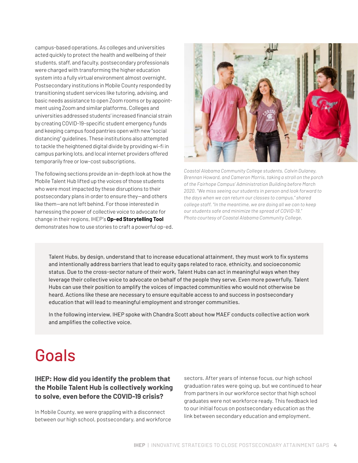campus-based operations. As colleges and universities acted quickly to protect the health and wellbeing of their students, staff, and faculty, postsecondary professionals were charged with transforming the higher education system into a fully virtual environment almost overnight. Postsecondary institutions in Mobile County responded by transitioning student services like tutoring, advising, and basic needs assistance to open Zoom rooms or by appointment using Zoom and similar platforms. Colleges and universities addressed students' increased financial strain by creating COVID-19-specific student emergency funds and keeping campus food pantries open with new "social distancing" guidelines. These institutions also attempted to tackle the heightened digital divide by providing wi-fi in campus parking lots, and local internet providers offered temporarily free or low-cost subscriptions.

The following sections provide an in-depth look at how the Mobile Talent Hub lifted up the voices of those students who were most impacted by these disruptions to their postsecondary plans in order to ensure they—and others like them—are not left behind. For those interested in harnessing the power of collective voice to advocate for change in their regions, IHEP's **Op-ed Storytelling Tool** demonstrates how to use stories to craft a powerful op-ed.



*Coastal Alabama Community College students, Calvin Dulaney, Brennan Howard, and Cameron Morris, taking a stroll on the porch of the Fairhope Campus' Administration Building before March 2020. "We miss seeing our students in person and look forward to the days when we can return our classes to campus," shared college staff. "In the meantime, we are doing all we can to keep our students safe and minimize the spread of COVID-19." Photo courtesy of Coastal Alabama Community College.*

Talent Hubs, by design, understand that to increase educational attainment, they must work to fix systems and intentionally address barriers that lead to equity gaps related to race, ethnicity, and socioeconomic status. Due to the cross-sector nature of their work, Talent Hubs can act in meaningful ways when they leverage their collective voice to advocate on behalf of the people they serve. Even more powerfully, Talent Hubs can use their position to amplify the voices of impacted communities who would not otherwise be heard. Actions like these are necessary to ensure equitable access to and success in postsecondary education that will lead to meaningful employment and stronger communities.

In the following interview, IHEP spoke with Chandra Scott about how MAEF conducts collective action work and amplifies the collective voice.

# Goals

#### **IHEP: How did you identify the problem that the Mobile Talent Hub is collectively working to solve, even before the COVID-19 crisis?**

In Mobile County, we were grappling with a disconnect between our high school, postsecondary, and workforce sectors. After years of intense focus, our high school graduation rates were going up, but we continued to hear from partners in our workforce sector that high school graduates were not workforce ready. This feedback led to our initial focus on postsecondary education as the link between secondary education and employment.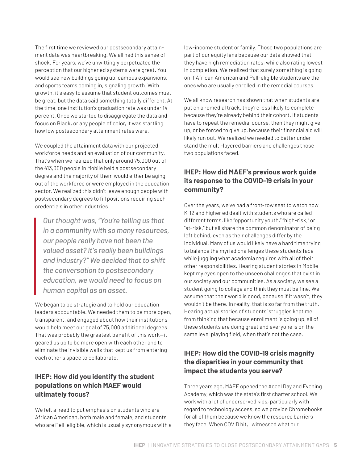The first time we reviewed our postsecondary attainment data was heartbreaking. We all had this sense of shock. For years, we've unwittingly perpetuated the perception that our higher ed systems were great. You would see new buildings going up, campus expansions, and sports teams coming in, signaling growth. With growth, it's easy to assume that student outcomes must be great, but the data said something totally different. At the time, one institution's graduation rate was under 14 percent. Once we started to disaggregate the data and focus on Black, or any people of color, it was startling how low postsecondary attainment rates were.

We coupled the attainment data with our projected workforce needs and an evaluation of our community. That's when we realized that only around 75,000 out of the 413,000 people in Mobile held a postsecondary degree and the majority of them would either be aging out of the workforce or were employed in the education sector. We realized this didn't leave enough people with postsecondary degrees to fill positions requiring such credentials in other industries.

*Our thought was, "You're telling us that in a community with so many resources, our people really have not been the valued asset? It's really been buildings and industry?" We decided that to shift the conversation to postsecondary education, we would need to focus on human capital as an asset.*

We began to be strategic and to hold our education leaders accountable. We needed them to be more open, transparent, and engaged about how their institutions would help meet our goal of 75,000 additional degrees. That was probably the greatest benefit of this work—it geared us up to be more open with each other and to eliminate the invisible walls that kept us from entering each other's space to collaborate.

### **IHEP: How did you identify the student populations on which MAEF would ultimately focus?**

We felt a need to put emphasis on students who are African American, both male and female, and students who are Pell-eligible, which is usually synonymous with a low-income student or family. Those two populations are part of our equity lens because our data showed that they have high remediation rates, while also rating lowest in completion. We realized that surely something is going on if African American and Pell-eligible students are the ones who are usually enrolled in the remedial courses.

We all know research has shown that when students are put on a remedial track, they're less likely to complete because they're already behind their cohort. If students have to repeat the remedial course, then they might give up, or be forced to give up, because their financial aid will likely run out. We realized we needed to better understand the multi-layered barriers and challenges those two populations faced.

### **IHEP: How did MAEF's previous work guide its response to the COVID-19 crisis in your community?**

Over the years, we've had a front-row seat to watch how K-12 and higher ed dealt with students who are called different terms, like "opportunity youth," "high-risk," or "at-risk," but all share the common denominator of being left behind, even as their challenges differ by the individual. Many of us would likely have a hard time trying to balance the myriad challenges these students face while juggling what academia requires with all of their other responsibilities. Hearing student stories in Mobile kept my eyes open to the unseen challenges that exist in our society and our communities. As a society, we see a student going to college and think they must be fine. We assume that their world is good, because if it wasn't, they wouldn't be there. In reality, that is so far from the truth. Hearing actual stories of students' struggles kept me from thinking that because enrollment is going up, all of these students are doing great and everyone is on the same level playing field, when that's not the case.

### **IHEP: How did the COVID-19 crisis magnify the disparities in your community that impact the students you serve?**

Three years ago, MAEF opened the Accel Day and Evening Academy, which was the state's first charter school. We work with a lot of underserved kids, particularly with regard to technology access, so we provide Chromebooks for all of them because we know the resource barriers they face. When COVID hit, I witnessed what our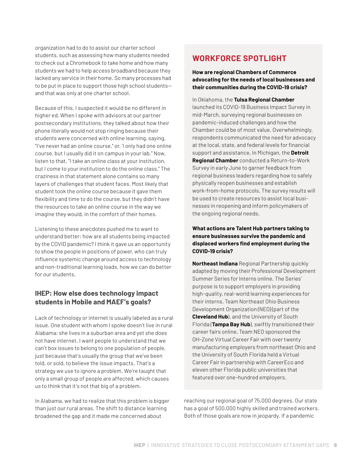organization had to do to assist our charter school students, such as assessing how many students needed to check out a Chromebook to take home and how many students we had to help access broadband because they lacked any service in their home. So many processes had to be put in place to support those high school students and that was only at one charter school.

Because of this, I suspected it would be no different in higher ed. When I spoke with advisors at our partner postsecondary institutions, they talked about how their phone literally would not stop ringing because their students were concerned with online learning, saying, "I've never had an online course," or, 'I only had one online course, but I usually did it on campus in your lab." Now, listen to that. "I take an online class at your institution, but I come to your institution to do the online class." The craziness in that statement alone contains so many layers of challenges that student faces. Most likely that student took the online course because it gave them flexibility and time to do the course, but they didn't have the resources to take an online course in the way we imagine they would, in the comfort of their homes.

Listening to these anecdotes pushed me to want to understand better: how are all students being impacted by the COVID pandemic? I think it gave us an opportunity to show the people in positions of power, who can truly influence systemic change around access to technology and non-traditional learning loads, how we can do better for our students.

### **IHEP: How else does technology impact students in Mobile and MAEF's goals?**

Lack of technology or internet is usually labeled as a rural issue. One student with whom I spoke doesn't live in rural Alabama; she lives in a suburban area and yet she does not have internet. I want people to understand that we can't box issues to belong to one population of people, just because that's usually the group that we've been told, or sold, to believe the issue impacts. That's a strategy we use to ignore a problem. We're taught that only a small group of people are affected, which causes us to think that it's not that big of a problem.

In Alabama, we had to realize that this problem is bigger than just our rural areas. The shift to distance learning broadened the gap and it made me concerned about

# **WORKFORCE SPOTLIGHT**

**How are regional Chambers of Commerce advocating for the needs of local businesses and their communities during the COVID-19 crisis?**

In Oklahoma, the **Tulsa Regional Chamber** launched its COVID-19 Business Impact Survey in mid-March, surveying regional businesses on pandemic-induced challenges and how the Chamber could be of most value. Overwhelmingly, respondents communicated the need for advocacy at the local, state, and federal levels for financial support and assistance. In Michigan, the **Detroit Regional Chamber** conducted a Return-to-Work Survey in early June to garner feedback from regional business leaders regarding how to safely physically reopen businesses and establish work-from-home protocols. The survey results will be used to create resources to assist local businesses in reopening and inform policymakers of the ongoing regional needs.

#### **What actions are Talent Hub partners taking to ensure businesses survive the pandemic and displaced workers find employment during the COVID-19 crisis?**

**Northeast Indiana** Regional Partnership quickly adapted by moving their Professional Development Summer Series for Interns online. The Series' purpose is to support employers in providing high-quality, real-world learning experiences for their interns. Team Northeast Ohio Business Development Organization (NEO) (part of the **Cleveland Hub**), and the University of South Florida (**Tampa Bay Hub**), swiftly transitioned their career fairs online. Team NEO sponsored the OH-Zone Virtual Career Fair with over twenty manufacturing employers from northeast Ohio and the University of South Florida held a Virtual Career Fair in partnership with CareerEco and eleven other Florida public universities that featured over one-hundred employers.

reaching our regional goal of 75,000 degrees. Our state has a goal of 500,000 highly skilled and trained workers. Both of those goals are now in jeopardy. If a pandemic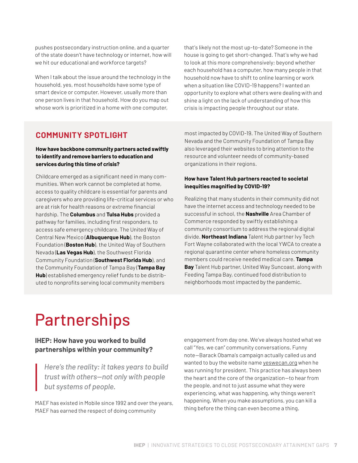pushes postsecondary instruction online, and a quarter of the state doesn't have technology or internet, how will we hit our educational and workforce targets?

When I talk about the issue around the technology in the household, yes, most households have some type of smart device or computer. However, usually more than one person lives in that household. How do you map out whose work is prioritized in a home with one computer,

that's likely not the most up-to-date? Someone in the house is going to get short-changed. That's why we had to look at this more comprehensively; beyond whether each household has a computer, how many people in that household now have to shift to online learning or work when a situation like COVID-19 happens? I wanted an opportunity to explore what others were dealing with and shine a light on the lack of understanding of how this crisis is impacting people throughout our state.

# **COMMUNITY SPOTLIGHT**

**How have backbone community partners acted swiftly to identify and remove barriers to education and services during this time of crisis?**

Childcare emerged as a significant need in many communities. When work cannot be completed at home, access to quality childcare is essential for parents and caregivers who are providing life-critical services or who are at risk for health reasons or extreme financial hardship. The **Columbus** and **Tulsa Hubs** provided a pathway for families, including first responders, to access safe emergency childcare. The United Way of Central New Mexico (**Albuquerque Hub**), the Boston Foundation (**Boston Hub**), the United Way of Southern Nevada (**Las Vegas Hub**), the Southwest Florida Community Foundation (**Southwest Florida Hub**), and the Community Foundation of Tampa Bay (**Tampa Bay Hub**) established emergency relief funds to be distributed to nonprofits serving local community members

most impacted by COVID-19. The United Way of Southern Nevada and the Community Foundation of Tampa Bay also leveraged their websites to bring attention to the resource and volunteer needs of community-based organizations in their regions.

#### **How have Talent Hub partners reacted to societal inequities magnified by COVID-19?**

Realizing that many students in their community did not have the internet access and technology needed to be successful in school, the **Nashville** Area Chamber of Commerce responded by swiftly establishing a community consortium to address the regional digital divide. **Northeast Indiana** Talent Hub partner Ivy Tech Fort Wayne collaborated with the local YWCA to create a regional quarantine center where homeless community members could receive needed medical care. **Tampa Bay** Talent Hub partner, United Way Suncoast, along with Feeding Tampa Bay, continued food distribution to neighborhoods most impacted by the pandemic.

# Partnerships

#### **IHEP: How have you worked to build partnerships within your community?**

*Here's the reality: it takes years to build trust with others—not only with people but systems of people.* 

MAEF has existed in Mobile since 1992 and over the years, MAEF has earned the respect of doing community

engagement from day one. We've always hosted what we call "Yes, we can" community conversations. Funny note—Barack Obama's campaign actually called us and wanted to buy the website name [yeswecan.org](http://yeswecan.org/) when he was running for president. This practice has always been the heart and the core of the organization—to hear from the people, and not to just assume what they were experiencing, what was happening, why things weren't happening. When you make assumptions, you can kill a thing before the thing can even become a thing.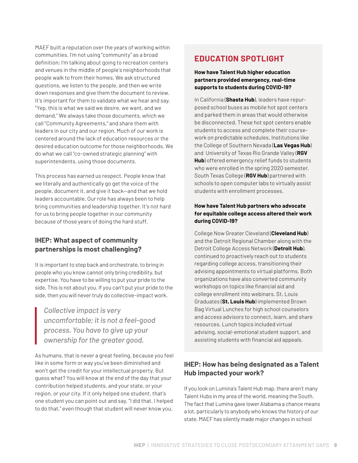MAEF built a reputation over the years of working within communities. I'm not using "community" as a broad definition; I'm talking about going to recreation centers and venues in the middle of people's neighborhoods that people walk to from their homes. We ask structured questions, we listen to the people, and then we write down responses and give them the document to review. It's important for them to validate what we hear and say, "Yep, this is what we said we desire, we want, and we demand." We always take those documents, which we call "Community Agreements," and share them with leaders in our city and our region. Much of our work is centered around the lack of education resources or the desired education outcome for those neighborhoods. We do what we call "co-owned strategic planning" with superintendents, using those documents.

This process has earned us respect. People know that we literally and authentically go get the voice of the people, document it, and give it back—and that we hold leaders accountable. Our role has always been to help bring communities and leadership together. It's not hard for us to bring people together in our community because of those years of doing the hard stuff.

#### **IHEP: What aspect of community partnerships is most challenging?**

It is important to step back and orchestrate, to bring in people who you know cannot only bring credibility, but expertise. You have to be willing to put your pride to the side. This is not about you. If you can't put your pride to the side, then you will never truly do collective-impact work.

*Collective impact is very uncomfortable; it is not a feel-good process. You have to give up your ownership for the greater good.*

As humans, that is never a great feeling, because you feel like in some form or way you've been diminished and won't get the credit for your intellectual property. But guess what? You will know at the end of the day that your contribution helped students, and your state, or your region, or your city. If it only helped one student, that's one student you can point out and say, "I did that. I helped to do that," even though that student will never know you.

# **EDUCATION SPOTLIGHT**

#### **How have Talent Hub higher education partners provided emergency, real-time supports to students during COVID-19?**

In California (**Shasta Hub**), leaders have repurposed school buses as mobile hot spot centers and parked them in areas that would otherwise be disconnected. These hot spot centers enable students to access and complete their coursework on predictable schedules. Institutions like the College of Southern Nevada (**Las Vegas Hub**) and University of Texas Rio Grande Valley (**RGV Hub**) offered emergency relief funds to students who were enrolled in the spring 2020 semester. South Texas College (**RGV Hub**) partnered with schools to open computer labs to virtually assist students with enrollment processes.

#### **How have Talent Hub partners who advocate for equitable college access altered their work during COVID-19?**

College Now Greater Cleveland (**Cleveland Hub**) and the Detroit Regional Chamber along with the Detroit College Access Network (**Detroit Hub**), continued to proactively reach out to students regarding college access, transitioning their advising appointments to virtual platforms. Both organizations have also converted community workshops on topics like financial aid and college enrollment into webinars. St. Louis Graduates (**St. Louis Hub**) implemented Brown Bag Virtual Lunches for high school counselors and access advisors to connect, learn, and share resources. Lunch topics included virtual advising, social-emotional student support, and assisting students with financial aid appeals.

### **IHEP: How has being designated as a Talent Hub impacted your work?**

If you look on Lumina's Talent Hub map, there aren't many Talent Hubs in my area of the world, meaning the South. The fact that Lumina gave lower Alabama a chance means a lot, particularly to anybody who knows the history of our state. MAEF has silently made major changes in school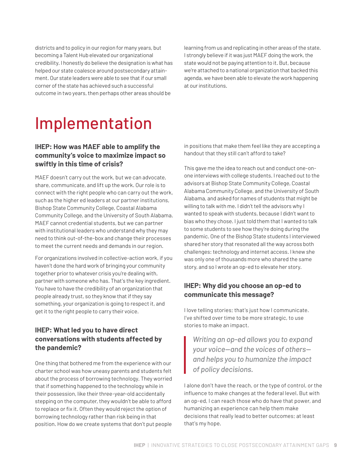districts and to policy in our region for many years, but becoming a Talent Hub elevated our organizational credibility. I honestly do believe the designation is what has helped our state coalesce around postsecondary attainment. Our state leaders were able to see that if our small corner of the state has achieved such a successful outcome in two years, then perhaps other areas should be

learning from us and replicating in other areas of the state. I strongly believe if it was just MAEF doing the work, the state would not be paying attention to it. But, because we're attached to a national organization that backed this agenda, we have been able to elevate the work happening at our institutions.

# Implementation

#### **IHEP: How was MAEF able to amplify the community's voice to maximize impact so swiftly in this time of crisis?**

MAEF doesn't carry out the work, but we can advocate, share, communicate, and lift up the work. Our role is to connect with the right people who can carry out the work, such as the higher ed leaders at our partner institutions, Bishop State Community College, Coastal Alabama Community College, and the University of South Alabama. MAEF cannot credential students, but we can partner with institutional leaders who understand why they may need to think out-of-the-box and change their processes to meet the current needs and demands in our region.

For organizations involved in collective-action work, if you haven't done the hard work of bringing your community together prior to whatever crisis you're dealing with, partner with someone who has. That's the key ingredient. You have to have the credibility of an organization that people already trust, so they know that if they say something, your organization is going to respect it, and get it to the right people to carry their voice.

### **IHEP: What led you to have direct conversations with students affected by the pandemic?**

One thing that bothered me from the experience with our charter school was how uneasy parents and students felt about the process of borrowing technology. They worried that if something happened to the technology while in their possession, like their three-year-old accidentally stepping on the computer, they wouldn't be able to afford to replace or fix it. Often they would reject the option of borrowing technology rather than risk being in that position. How do we create systems that don't put people

in positions that make them feel like they are accepting a handout that they still can't afford to take?

This gave me the idea to reach out and conduct one-onone interviews with college students. I reached out to the advisors at Bishop State Community College, Coastal Alabama Community College, and the University of South Alabama, and asked for names of students that might be willing to talk with me. I didn't tell the advisors why I wanted to speak with students, because I didn't want to bias who they chose. I just told them that I wanted to talk to some students to see how they're doing during the pandemic. One of the Bishop State students I interviewed shared her story that resonated all the way across both challenges: technology and internet access. I knew she was only one of thousands more who shared the same story, and so I wrote an op-ed to elevate her story.

### **IHEP: Why did you choose an op-ed to communicate this message?**

I love telling stories; that's just how I communicate. I've shifted over time to be more strategic, to use stories to make an impact.

*Writing an op-ed allows you to expand your voice—and the voices of others and helps you to humanize the impact of policy decisions.*

I alone don't have the reach, or the type of control, or the influence to make changes at the federal level. But with an op-ed, I can reach those who do have that power, and humanizing an experience can help them make decisions that really lead to better outcomes; at least that's my hope.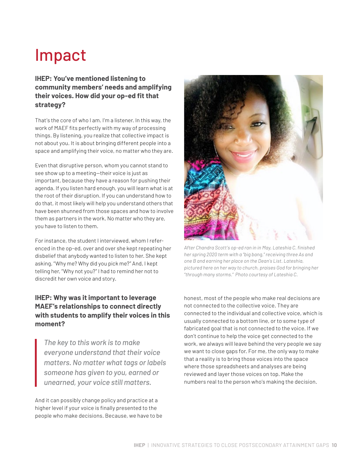# Impact

### **IHEP: You've mentioned listening to community members' needs and amplifying their voices. How did your op-ed fit that strategy?**

That's the core of who I am. I'm a listener. In this way, the work of MAEF fits perfectly with my way of processing things. By listening, you realize that collective impact is not about you. It is about bringing different people into a space and amplifying their voice, no matter who they are.

Even that disruptive person, whom you cannot stand to see show up to a meeting—their voice is just as important, because they have a reason for pushing their agenda. If you listen hard enough, you will learn what is at the root of their disruption. If you can understand how to do that, it most likely will help you understand others that have been shunned from those spaces and how to involve them as partners in the work. No matter who they are, you have to listen to them.

For instance, the student I interviewed, whom I referenced in the op-ed, over and over she kept repeating her disbelief that anybody wanted to listen to her. She kept asking, "Why me? Why did you pick me?" And, I kept telling her, "Why not you?" I had to remind her not to discredit her own voice and story.

### **IHEP: Why was it important to leverage MAEF's relationships to connect directly with students to amplify their voices in this moment?**

*The key to this work is to make everyone understand that their voice matters. No matter what tags or labels someone has given to you, earned or unearned, your voice still matters.* 

And it can possibly change policy and practice at a higher level if your voice is finally presented to the people who make decisions. Because, we have to be



*After Chandra Scott's op-ed ran in in May, Lateshia C. finished her spring 2020 term with a "big bang," receiving three As and one B and earning her place on the Dean's List. Lateshia, pictured here on her way to church, praises God for bringing her "through many storms." Photo courtesy of Lateshia C.*

honest, most of the people who make real decisions are not connected to the collective voice. They are connected to the individual and collective voice, which is usually connected to a bottom line, or to some type of fabricated goal that is not connected to the voice. If we don't continue to help the voice get connected to the work, we always will leave behind the very people we say we want to close gaps for. For me, the only way to make that a reality is to bring those voices into the space where those spreadsheets and analyses are being reviewed and layer those voices on top. Make the numbers real to the person who's making the decision.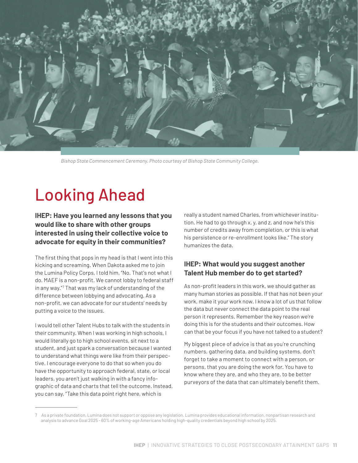

*Bishop State Commencement Ceremony. Photo courtesy of Bishop State Community College.*

# Looking Ahead

**IHEP: Have you learned any lessons that you would like to share with other groups interested in using their collective voice to advocate for equity in their communities?**

The first thing that pops in my head is that I went into this kicking and screaming. When Dakota asked me to join the Lumina Policy Corps, I told him, "No. That's not what I do. MAEF is a non-profit. We cannot lobby to federal staff in any way."<sup>7</sup> That was my lack of understanding of the difference between lobbying and advocating. As a non-profit, we can advocate for our students' needs by putting a voice to the issues.

I would tell other Talent Hubs to talk with the students in their community. When I was working in high schools, I would literally go to high school events, sit next to a student, and just spark a conversation because I wanted to understand what things were like from their perspective. I encourage everyone to do that so when you do have the opportunity to approach federal, state, or local leaders, you aren't just walking in with a fancy infographic of data and charts that tell the outcome. Instead, you can say, "Take this data point right here, which is

really a student named Charles, from whichever institution. He had to go through x, y, and z, and now he's this number of credits away from completion, or this is what his persistence or re-enrollment looks like." The story humanizes the data.

#### **IHEP: What would you suggest another Talent Hub member do to get started?**

As non-profit leaders in this work, we should gather as many human stories as possible. If that has not been your work, make it your work now. I know a lot of us that follow the data but never connect the data point to the real person it represents. Remember the key reason we're doing this is for the students and their outcomes. How can that be your focus if you have not talked to a student?

My biggest piece of advice is that as you're crunching numbers, gathering data, and building systems, don't forget to take a moment to connect with a person, or persons, that you are doing the work for. You have to know where they are, and who they are, to be better purveyors of the data that can ultimately benefit them.

<sup>7</sup> As a private foundation, Lumina does not support or oppose any legislation. Lumina provides educational information, nonpartisan research and analysis to advance Goal 2025 - 60% of working-age Americans holding high-quality credentials beyond high school by 2025.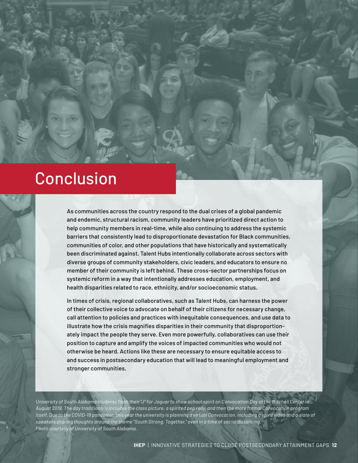# Conclusion

As communities across the country respond to the dual crises of a global pandemic and endemic, structural racism, community leaders have prioritized direct action to help community members in real-time, while also continuing to address the systemic barriers that consistently lead to disproportionate devastation for Black communities, communities of color, and other populations that have historically and systematically been discriminated against. Talent Hubs intentionally collaborate across sectors with diverse groups of community stakeholders, civic leaders, and educators to ensure no member of their community is left behind. These cross-sector partnerships focus on systemic reform in a way that intentionally addresses education, employment, and health disparities related to race, ethnicity, and/or socioeconomic status.

In times of crisis, regional collaboratives, such as Talent Hubs, can harness the power of their collective voice to advocate on behalf of their citizens for necessary change, call attention to policies and practices with inequitable consequences, and use data to illustrate how the crisis magnifies disparities in their community that disproportionately impact the people they serve. Even more powerfully, collaboratives can use their position to capture and amplify the voices of impacted communities who would not otherwise be heard. Actions like these are necessary to ensure equitable access to and success in postsecondary education that will lead to meaningful employment and stronger communities.

*University of South Alabama students flash their "J" for Jaguar to show school spirit on Convocation Day at the Mitchell Center in August 2019. The day traditionally includes the class picture, a spirited pep rally, and then the more formal Convocation program itself. Due to the COVID-19 pandemic, this year the university is planning a virtual Convocation, including a spirit video and a slate of speakers sharing thoughts around the theme "South Strong. Together." even in a time of social distancing. Photo courtesy of University of South Alabama.*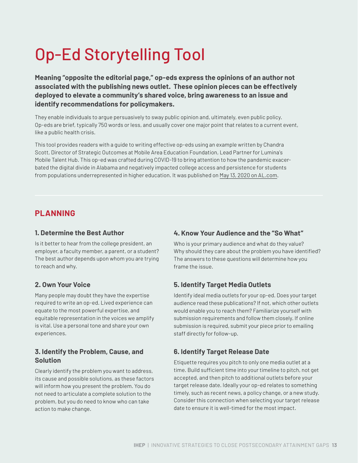# Op-Ed Storytelling Tool

**Meaning "opposite the editorial page," op-eds express the opinions of an author not associated with the publishing news outlet. These opinion pieces can be effectively deployed to elevate a community's shared voice, bring awareness to an issue and identify recommendations for policymakers.** 

They enable individuals to argue persuasively to sway public opinion and, ultimately, even public policy. Op-eds are brief, typically 750 words or less, and usually cover one major point that relates to a current event, like a public health crisis.

This tool provides readers with a guide to writing effective op-eds using an example written by Chandra Scott, Director of Strategic Outcomes at Mobile Area Education Foundation, Lead Partner for Lumina's Mobile Talent Hub. This op-ed was crafted during COVID-19 to bring attention to how the pandemic exacerbated the digital divide in Alabama and negatively impacted college access and persistence for students from populations underrepresented in higher education. It was published on [May 13, 2020 on AL.com](https://www.al.com/opinion/2020/05/lack-of-broadband-access-is-a-hidden-barrier-to-our-pandemic-recovery.html).

# **PLANNING**

#### **1. Determine the Best Author**

Is it better to hear from the college president, an employer, a faculty member, a parent, or a student? The best author depends upon whom you are trying to reach and why.

#### **2. Own Your Voice**

Many people may doubt they have the expertise required to write an op-ed. Lived experience can equate to the most powerful expertise, and equitable representation in the voices we amplify is vital. Use a personal tone and share your own experiences.

#### **3. Identify the Problem, Cause, and Solution**

Clearly identify the problem you want to address, its cause and possible solutions, as these factors will inform how you present the problem. You do not need to articulate a complete solution to the problem, but you do need to know who can take action to make change.

#### **4. Know Your Audience and the "So What"**

Who is your primary audience and what do they value? Why should they care about the problem you have identified? The answers to these questions will determine how you frame the issue.

### **5. Identify Target Media Outlets**

Identify ideal media outlets for your op-ed. Does your target audience read these publications? If not, which other outlets would enable you to reach them? Familiarize yourself with submission requirements and follow them closely. If online submission is required, submit your piece prior to emailing staff directly for follow-up.

#### **6. Identify Target Release Date**

Etiquette requires you pitch to only one media outlet at a time. Build sufficient time into your timeline to pitch, not get accepted, and then pitch to additional outlets before your target release date. Ideally your op-ed relates to something timely, such as recent news, a policy change, or a new study. Consider this connection when selecting your target release date to ensure it is well-timed for the most impact.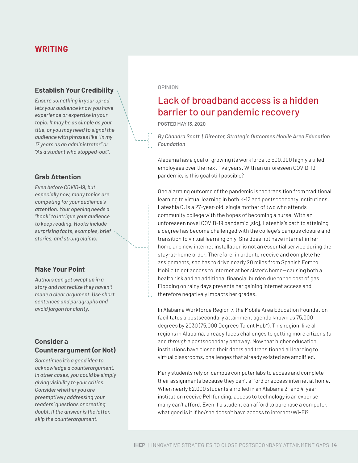# **WRITING**

#### **Establish Your Credibility**

*Ensure something in your op-ed lets your audience know you have experience or expertise in your topic. It may be as simple as your title, or you may need to signal the audience with phrases like "In my 17 years as an administrator" or "As a student who stopped-out".*

#### **Grab Attention**

*Even before COVID-19, but especially now, many topics are competing for your audience's attention. Your opening needs a "hook" to intrigue your audience to keep reading. Hooks include surprising facts, examples, brief stories, and strong claims.*

#### **Make Your Point**

*Authors can get swept up in a story and not realize they haven't made a clear argument. Use short sentences and paragraphs and avoid jargon for clarity.*

#### **Consider a Counterargument (or Not)**

*Sometimes it's a good idea to acknowledge a counterargument. In other cases, you could be simply giving visibility to your critics. Consider whether you are preemptively addressing your readers' questions or creating doubt. If the answer is the latter, skip the counterargument.*

#### **OPINION**

# Lack of broadband access is a hidden barrier to our pandemic recovery

POSTED MAY 13, 2020

*By Chandra Scott | Director, Strategic Outcomes Mobile Area Education Foundation*

Alabama has a goal of growing its workforce to 500,000 highly skilled employees over the next five years. With an unforeseen COVID-19 pandemic, is this goal still possible?

One alarming outcome of the pandemic is the transition from traditional learning to virtual learning in both K-12 and postsecondary institutions. Lateshia C. is a 27-year-old, single mother of two who attends community college with the hopes of becoming a nurse. With an unforeseen novel COVID-19 pandemic [sic], Lateshia's path to attaining a degree has become challenged with the college's campus closure and transition to virtual learning only. She does not have internet in her home and new internet installation is not an essential service during the stay-at-home order. Therefore, in order to receive and complete her assignments, she has to drive nearly 20 miles from Spanish Fort to Mobile to get access to internet at her sister's home—causing both a health risk and an additional financial burden due to the cost of gas. Flooding on rainy days prevents her gaining internet access and therefore negatively impacts her grades.

In Alabama Workforce Region 7, the [Mobile Area Education Foundation](http://www.maef.net/) facilitates a postsecondary attainment agenda known as [75,000](http://www.maef.net/our-work/initiatives/75k-degrees)  [degrees by 2030](http://www.maef.net/our-work/initiatives/75k-degrees) (75,000 Degrees Talent Hub\*). This region, like all regions in Alabama, already faces challenges to getting more citizens *to* and *through* a postsecondary pathway. Now that higher education institutions have closed their doors and transitioned all learning to virtual classrooms, challenges that already existed are amplified.

Many students rely on campus computer labs to access and complete their assignments because they can't afford or access internet at home. When nearly 82,000 students enrolled in an Alabama 2- and 4-year institution receive Pell funding, access to technology is an expense many can't afford. Even if a student can afford to purchase a computer, what good is it if he/she doesn't have access to internet/Wi-Fi?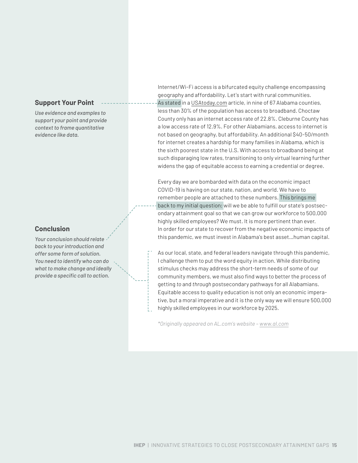#### **Support Your Point**

*Use evidence and examples to support your point and provide context to frame quantitative evidence like data.* 

#### **Conclusion**

*Your conclusion should relate back to your introduction and offer some form of solution. You need to identify who can do what to make change and ideally provide a specific call to action.* 

Internet/Wi-Fi access is a bifurcated equity challenge encompassing geography and affordability. Let's start with rural communities. As stated in a [USAtoday.com](https://www.usatoday.com/) article, in nine of 67 Alabama counties, less than 30% of the population has access to broadband. Choctaw County only has an internet access rate of 22.8%. Cleburne County has a low access rate of 12.9%. For other Alabamians, access to internet is not based on geography, but affordability. An additional \$40-50/month for internet creates a hardship for many families in Alabama, which is the sixth poorest state in the U.S. With access to broadband being at such disparaging low rates, transitioning to only virtual learning further widens the gap of equitable access to earning a credential or degree.

Every day we are bombarded with data on the economic impact COVID-19 is having on our state, nation, and world. We have to remember people are attached to these numbers. This brings me back to my initial question; will we be able to fulfill our state's postsecondary attainment goal so that we can grow our workforce to 500,000 highly skilled employees? We must. It is more pertinent than ever. In order for our state to recover from the negative economic impacts of this pandemic, we must invest in Alabama's best asset…human capital.

As our local, state, and federal leaders navigate through this pandemic, I challenge them to put the word equity in action. While distributing stimulus checks may address the short-term needs of some of our community members, we must also find ways to better the process of getting *to* and *through* postsecondary pathways for all Alabamians. Equitable access to quality education is not only an economic imperative, but a moral imperative and it is the only way we will ensure 500,000 highly skilled employees in our workforce by 2025.

*\*Originally appeared on AL.com's website – [www.al.com](https://www.al.com/)*